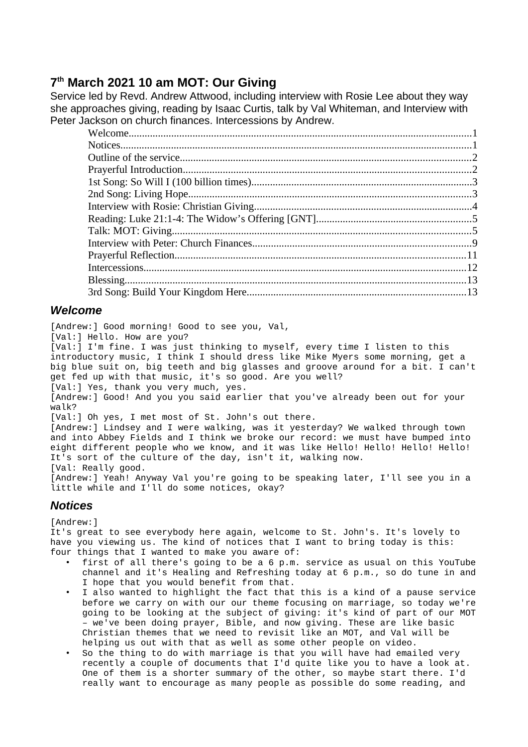# **7 th March 2021 10 am MOT: Our Giving**

Service led by Revd. Andrew Attwood, including interview with Rosie Lee about they way she approaches giving, reading by Isaac Curtis, talk by Val Whiteman, and Interview with Peter Jackson on church finances. Intercessions by Andrew.

# <span id="page-0-0"></span>*Welcome*

[Andrew:] Good morning! Good to see you, Val,

[Val:] Hello. How are you?

[Val:] I'm fine. I was just thinking to myself, every time I listen to this introductory music, I think I should dress like Mike Myers some morning, get a big blue suit on, big teeth and big glasses and groove around for a bit. I can't get fed up with that music, it's so good. Are you well?

[Val:] Yes, thank you very much, yes.

[Andrew:] Good! And you you said earlier that you've already been out for your walk?

[Val:] Oh yes, I met most of St. John's out there.

[Andrew:] Lindsey and I were walking, was it yesterday? We walked through town and into Abbey Fields and I think we broke our record: we must have bumped into eight different people who we know, and it was like Hello! Hello! Hello! Hello! It's sort of the culture of the day, isn't it, walking now. [Val: Really good.

[Andrew:] Yeah! Anyway Val you're going to be speaking later, I'll see you in a little while and I'll do some notices, okay?

# <span id="page-0-1"></span>*Notices*

[Andrew:]

It's great to see everybody here again, welcome to St. John's. It's lovely to have you viewing us. The kind of notices that I want to bring today is this: four things that I wanted to make you aware of:

- first of all there's going to be a 6 p.m. service as usual on this YouTube channel and it's Healing and Refreshing today at 6 p.m., so do tune in and I hope that you would benefit from that.
- I also wanted to highlight the fact that this is a kind of a pause service before we carry on with our our theme focusing on marriage, so today we're going to be looking at the subject of giving: it's kind of part of our MOT – we've been doing prayer, Bible, and now giving. These are like basic Christian themes that we need to revisit like an MOT, and Val will be helping us out with that as well as some other people on video.
- So the thing to do with marriage is that you will have had emailed very recently a couple of documents that I'd quite like you to have a look at. One of them is a shorter summary of the other, so maybe start there. I'd really want to encourage as many people as possible do some reading, and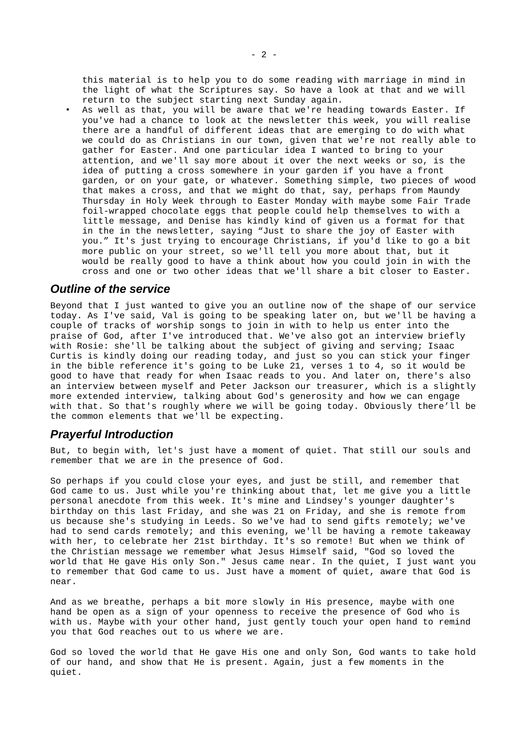this material is to help you to do some reading with marriage in mind in the light of what the Scriptures say. So have a look at that and we will return to the subject starting next Sunday again.

As well as that, you will be aware that we're heading towards Easter. If you've had a chance to look at the newsletter this week, you will realise there are a handful of different ideas that are emerging to do with what we could do as Christians in our town, given that we're not really able to gather for Easter. And one particular idea I wanted to bring to your attention, and we'll say more about it over the next weeks or so, is the idea of putting a cross somewhere in your garden if you have a front garden, or on your gate, or whatever. Something simple, two pieces of wood that makes a cross, and that we might do that, say, perhaps from Maundy Thursday in Holy Week through to Easter Monday with maybe some Fair Trade foil-wrapped chocolate eggs that people could help themselves to with a little message, and Denise has kindly kind of given us a format for that in the in the newsletter, saying "Just to share the joy of Easter with you." It's just trying to encourage Christians, if you'd like to go a bit more public on your street, so we'll tell you more about that, but it would be really good to have a think about how you could join in with the cross and one or two other ideas that we'll share a bit closer to Easter.

#### <span id="page-1-1"></span>*Outline of the service*

Beyond that I just wanted to give you an outline now of the shape of our service today. As I've said, Val is going to be speaking later on, but we'll be having a couple of tracks of worship songs to join in with to help us enter into the praise of God, after I've introduced that. We've also got an interview briefly with Rosie: she'll be talking about the subject of giving and serving; Isaac Curtis is kindly doing our reading today, and just so you can stick your finger in the bible reference it's going to be Luke 21, verses 1 to 4, so it would be good to have that ready for when Isaac reads to you. And later on, there's also an interview between myself and Peter Jackson our treasurer, which is a slightly more extended interview, talking about God's generosity and how we can engage with that. So that's roughly where we will be going today. Obviously there'll be the common elements that we'll be expecting.

#### <span id="page-1-0"></span>*Prayerful Introduction*

But, to begin with, let's just have a moment of quiet. That still our souls and remember that we are in the presence of God.

So perhaps if you could close your eyes, and just be still, and remember that God came to us. Just while you're thinking about that, let me give you a little personal anecdote from this week. It's mine and Lindsey's younger daughter's birthday on this last Friday, and she was 21 on Friday, and she is remote from us because she's studying in Leeds. So we've had to send gifts remotely; we've had to send cards remotely; and this evening, we'll be having a remote takeaway with her, to celebrate her 21st birthday. It's so remote! But when we think of the Christian message we remember what Jesus Himself said, "God so loved the world that He gave His only Son." Jesus came near. In the quiet, I just want you to remember that God came to us. Just have a moment of quiet, aware that God is near.

And as we breathe, perhaps a bit more slowly in His presence, maybe with one hand be open as a sign of your openness to receive the presence of God who is with us. Maybe with your other hand, just gently touch your open hand to remind you that God reaches out to us where we are.

God so loved the world that He gave His one and only Son, God wants to take hold of our hand, and show that He is present. Again, just a few moments in the quiet.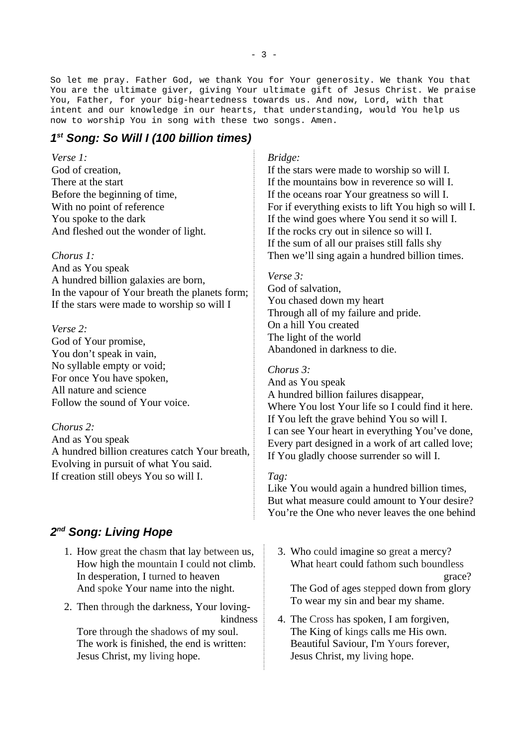So let me pray. Father God, we thank You for Your generosity. We thank You that You are the ultimate giver, giving Your ultimate gift of Jesus Christ. We praise You, Father, for your big-heartedness towards us. And now, Lord, with that intent and our knowledge in our hearts, that understanding, would You help us now to worship You in song with these two songs. Amen.

# <span id="page-2-1"></span>*1 st Song: So Will I (100 billion times)*

*Verse 1:* God of creation, There at the start Before the beginning of time, With no point of reference You spoke to the dark And fleshed out the wonder of light.

*Chorus 1:* And as You speak A hundred billion galaxies are born, In the vapour of Your breath the planets form; If the stars were made to worship so will I

*Verse 2:* God of Your promise, You don't speak in vain, No syllable empty or void; For once You have spoken, All nature and science Follow the sound of Your voice.

*Chorus 2:*

And as You speak A hundred billion creatures catch Your breath, Evolving in pursuit of what You said. If creation still obeys You so will I.

# <span id="page-2-0"></span>*2 nd Song: Living Hope*

- 1. How great the chasm that lay between us, How high the mountain I could not climb. In desperation, I turned to heaven And spoke Your name into the night.
- 2. Then through the darkness, Your lovingkindness

Tore through the shadows of my soul. The work is finished, the end is written: Jesus Christ, my living hope.

### *Bridge:*

If the stars were made to worship so will I. If the mountains bow in reverence so will I. If the oceans roar Your greatness so will I. For if everything exists to lift You high so will I. If the wind goes where You send it so will I. If the rocks cry out in silence so will I. If the sum of all our praises still falls shy Then we'll sing again a hundred billion times.

### *Verse 3:*

God of salvation, You chased down my heart Through all of my failure and pride. On a hill You created The light of the world Abandoned in darkness to die.

*Chorus 3:*

And as You speak A hundred billion failures disappear, Where You lost Your life so I could find it here. If You left the grave behind You so will I. I can see Your heart in everything You've done, Every part designed in a work of art called love; If You gladly choose surrender so will I.

### *Tag:*

Like You would again a hundred billion times, But what measure could amount to Your desire? You're the One who never leaves the one behind

- 3. Who could imagine so great a mercy? What heart could fathom such boundless grace? The God of ages stepped down from glory To wear my sin and bear my shame.
- 4. The Cross has spoken, I am forgiven, The King of kings calls me His own. Beautiful Saviour, I'm Yours forever, Jesus Christ, my living hope.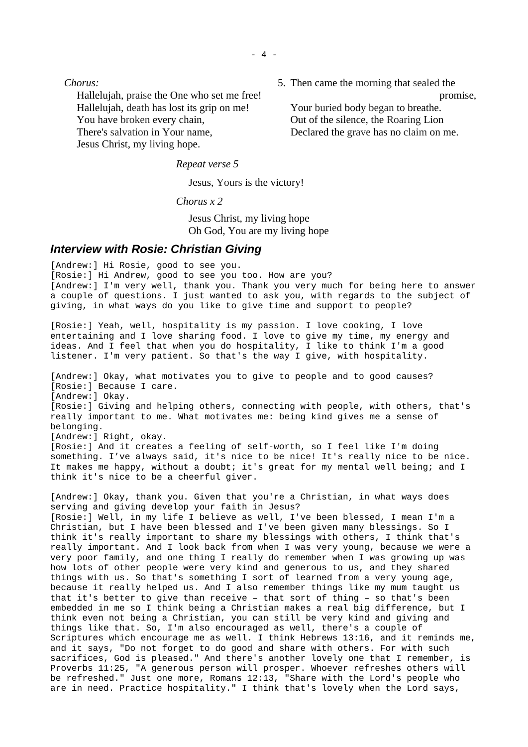*Chorus:*

Hallelujah, praise the One who set me free! Hallelujah, death has lost its grip on me! You have broken every chain, There's salvation in Your name, Jesus Christ, my living hope.

5. Then came the morning that sealed the promise, Your buried body began to breathe. Out of the silence, the Roaring Lion

Declared the grave has no claim on me.

*Repeat verse 5*

Jesus, Yours is the victory!

*Chorus x 2*

Jesus Christ, my living hope Oh God, You are my living hope

# <span id="page-3-0"></span>*Interview with Rosie: Christian Giving*

[Andrew:] Hi Rosie, good to see you. [Rosie:] Hi Andrew, good to see you too. How are you? [Andrew:] I'm very well, thank you. Thank you very much for being here to answer a couple of questions. I just wanted to ask you, with regards to the subject of giving, in what ways do you like to give time and support to people?

[Rosie:] Yeah, well, hospitality is my passion. I love cooking, I love entertaining and I love sharing food. I love to give my time, my energy and ideas. And I feel that when you do hospitality, I like to think I'm a good listener. I'm very patient. So that's the way I give, with hospitality.

[Andrew:] Okay, what motivates you to give to people and to good causes? [Rosie:] Because I care. [Andrew:] Okay. [Rosie:] Giving and helping others, connecting with people, with others, that's really important to me. What motivates me: being kind gives me a sense of belonging. [Andrew:] Right, okay. [Rosie:] And it creates a feeling of self-worth, so I feel like I'm doing something. I've always said, it's nice to be nice! It's really nice to be nice. It makes me happy, without a doubt; it's great for my mental well being; and I think it's nice to be a cheerful giver.

[Andrew:] Okay, thank you. Given that you're a Christian, in what ways does serving and giving develop your faith in Jesus? [Rosie:] Well, in my life I believe as well, I've been blessed, I mean I'm a Christian, but I have been blessed and I've been given many blessings. So I think it's really important to share my blessings with others, I think that's really important. And I look back from when I was very young, because we were a very poor family, and one thing I really do remember when I was growing up was how lots of other people were very kind and generous to us, and they shared things with us. So that's something I sort of learned from a very young age, because it really helped us. And I also remember things like my mum taught us that it's better to give than receive – that sort of thing – so that's been embedded in me so I think being a Christian makes a real big difference, but I think even not being a Christian, you can still be very kind and giving and things like that. So, I'm also encouraged as well, there's a couple of Scriptures which encourage me as well. I think Hebrews 13:16, and it reminds me, and it says, "Do not forget to do good and share with others. For with such sacrifices, God is pleased." And there's another lovely one that I remember, is Proverbs 11:25, "A generous person will prosper. Whoever refreshes others will be refreshed." Just one more, Romans 12:13, "Share with the Lord's people who are in need. Practice hospitality." I think that's lovely when the Lord says,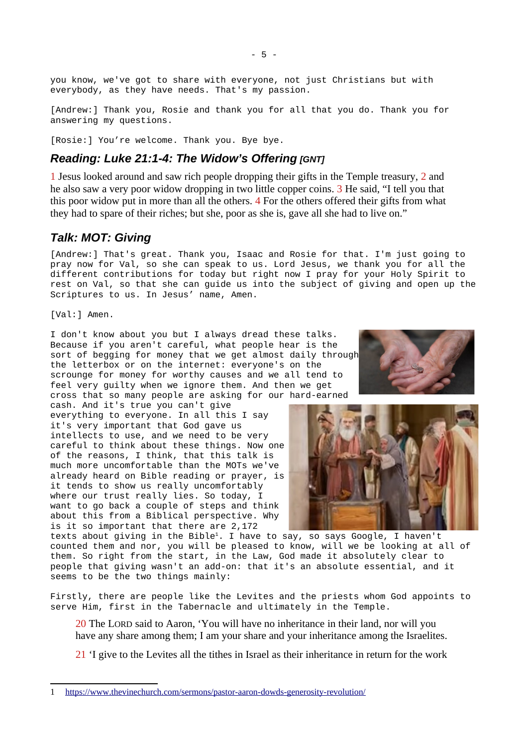you know, we've got to share with everyone, not just Christians but with everybody, as they have needs. That's my passion.

[Andrew:] Thank you, Rosie and thank you for all that you do. Thank you for answering my questions.

[Rosie:] You're welcome. Thank you. Bye bye.

# <span id="page-4-1"></span>*Reading: Luke 21:1-4: The Widow's Offering [GNT]*

1 Jesus looked around and saw rich people dropping their gifts in the Temple treasury, 2 and he also saw a very poor widow dropping in two little copper coins. 3 He said, "I tell you that this poor widow put in more than all the others. 4 For the others offered their gifts from what they had to spare of their riches; but she, poor as she is, gave all she had to live on."

# <span id="page-4-0"></span>*Talk: MOT: Giving*

[Andrew:] That's great. Thank you, Isaac and Rosie for that. I'm just going to pray now for Val, so she can speak to us. Lord Jesus, we thank you for all the different contributions for today but right now I pray for your Holy Spirit to rest on Val, so that she can guide us into the subject of giving and open up the Scriptures to us. In Jesus' name, Amen.

[Val:] Amen.

I don't know about you but I always dread these talks. Because if you aren't careful, what people hear is the sort of begging for money that we get almost daily through the letterbox or on the internet: everyone's on the scrounge for money for worthy causes and we all tend to feel very guilty when we ignore them. And then we get cross that so many people are asking for our hard-earned

cash. And it's true you can't give everything to everyone. In all this I say it's very important that God gave us intellects to use, and we need to be very careful to think about these things. Now one of the reasons, I think, that this talk is much more uncomfortable than the MOTs we've already heard on Bible reading or prayer, is it tends to show us really uncomfortably where our trust really lies. So today, I want to go back a couple of steps and think about this from a Biblical perspective. Why is it so important that there are 2,172





texts about giving in the Bible[1](#page-4-2). I have to say, so says Google, I haven't counted them and nor, you will be pleased to know, will we be looking at all of them. So right from the start, in the Law, God made it absolutely clear to people that giving wasn't an add-on: that it's an absolute essential, and it seems to be the two things mainly:

Firstly, there are people like the Levites and the priests whom God appoints to serve Him, first in the Tabernacle and ultimately in the Temple.

20 The LORD said to Aaron, 'You will have no inheritance in their land, nor will you have any share among them; I am your share and your inheritance among the Israelites.

21 'I give to the Levites all the tithes in Israel as their inheritance in return for the work

<span id="page-4-2"></span><sup>1</sup><https://www.thevinechurch.com/sermons/pastor-aaron-dowds-generosity-revolution/>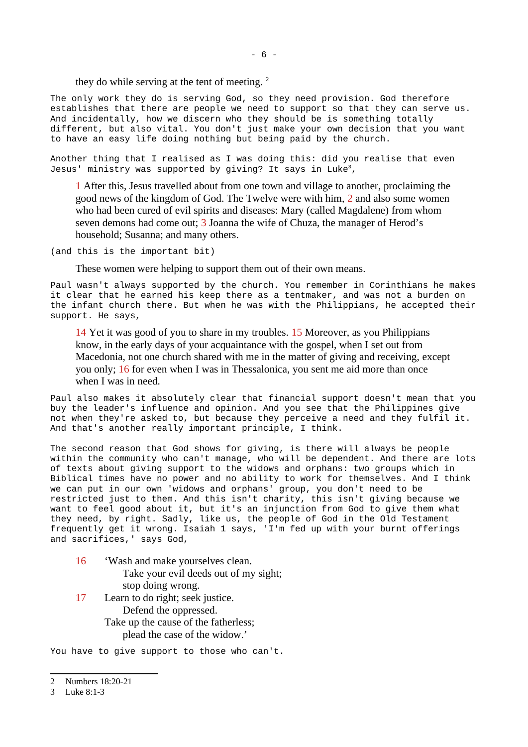they do while serving at the tent of meeting.  $2^2$  $2^2$ 

The only work they do is serving God, so they need provision. God therefore establishes that there are people we need to support so that they can serve us. And incidentally, how we discern who they should be is something totally different, but also vital. You don't just make your own decision that you want to have an easy life doing nothing but being paid by the church.

Another thing that I realised as I was doing this: did you realise that even Jesus' ministry was supported by giving? It says in Luke<sup>[3](#page-5-1)</sup>,

1 After this, Jesus travelled about from one town and village to another, proclaiming the good news of the kingdom of God. The Twelve were with him, 2 and also some women who had been cured of evil spirits and diseases: Mary (called Magdalene) from whom seven demons had come out; 3 Joanna the wife of Chuza, the manager of Herod's household; Susanna; and many others.

(and this is the important bit)

These women were helping to support them out of their own means.

Paul wasn't always supported by the church. You remember in Corinthians he makes it clear that he earned his keep there as a tentmaker, and was not a burden on the infant church there. But when he was with the Philippians, he accepted their support. He says,

14 Yet it was good of you to share in my troubles. 15 Moreover, as you Philippians know, in the early days of your acquaintance with the gospel, when I set out from Macedonia, not one church shared with me in the matter of giving and receiving, except you only; 16 for even when I was in Thessalonica, you sent me aid more than once when I was in need.

Paul also makes it absolutely clear that financial support doesn't mean that you buy the leader's influence and opinion. And you see that the Philippines give not when they're asked to, but because they perceive a need and they fulfil it. And that's another really important principle, I think.

The second reason that God shows for giving, is there will always be people within the community who can't manage, who will be dependent. And there are lots of texts about giving support to the widows and orphans: two groups which in Biblical times have no power and no ability to work for themselves. And I think we can put in our own 'widows and orphans' group, you don't need to be restricted just to them. And this isn't charity, this isn't giving because we want to feel good about it, but it's an injunction from God to give them what they need, by right. Sadly, like us, the people of God in the Old Testament frequently get it wrong. Isaiah 1 says, 'I'm fed up with your burnt offerings and sacrifices,' says God,

16 'Wash and make yourselves clean. Take your evil deeds out of my sight; stop doing wrong. 17 Learn to do right; seek justice. Defend the oppressed. Take up the cause of the fatherless; plead the case of the widow.'

You have to give support to those who can't.

<span id="page-5-0"></span><sup>2</sup> Numbers 18:20-21

<span id="page-5-1"></span><sup>3</sup> Luke 8:1-3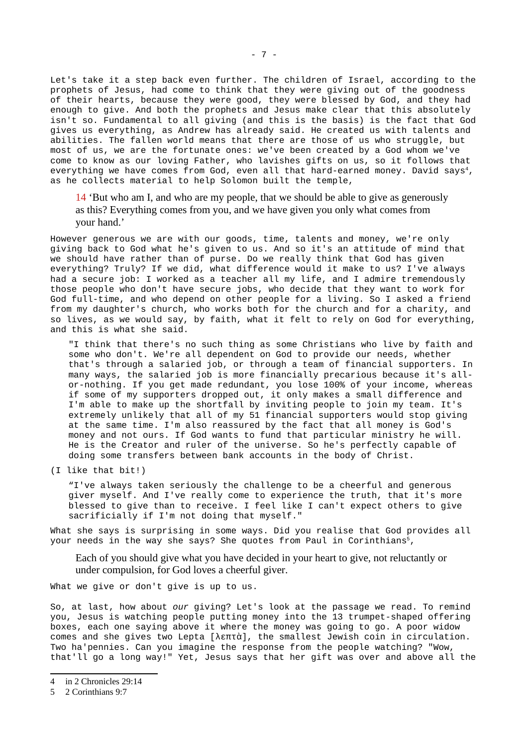Let's take it a step back even further. The children of Israel, according to the prophets of Jesus, had come to think that they were giving out of the goodness of their hearts, because they were good, they were blessed by God, and they had enough to give. And both the prophets and Jesus make clear that this absolutely isn't so. Fundamental to all giving (and this is the basis) is the fact that God gives us everything, as Andrew has already said. He created us with talents and abilities. The fallen world means that there are those of us who struggle, but most of us, we are the fortunate ones: we've been created by a God whom we've come to know as our loving Father, who lavishes gifts on us, so it follows that everything we have comes from God, even all that hard-earned money. David says<sup>[4](#page-6-0)</sup>, as he collects material to help Solomon built the temple,

14 'But who am I, and who are my people, that we should be able to give as generously as this? Everything comes from you, and we have given you only what comes from your hand.'

However generous we are with our goods, time, talents and money, we're only giving back to God what he's given to us. And so it's an attitude of mind that we should have rather than of purse. Do we really think that God has given everything? Truly? If we did, what difference would it make to us? I've always had a secure job: I worked as a teacher all my life, and I admire tremendously those people who don't have secure jobs, who decide that they want to work for God full-time, and who depend on other people for a living. So I asked a friend from my daughter's church, who works both for the church and for a charity, and so lives, as we would say, by faith, what it felt to rely on God for everything, and this is what she said.

"I think that there's no such thing as some Christians who live by faith and some who don't. We're all dependent on God to provide our needs, whether that's through a salaried job, or through a team of financial supporters. In many ways, the salaried job is more financially precarious because it's allor-nothing. If you get made redundant, you lose 100% of your income, whereas if some of my supporters dropped out, it only makes a small difference and I'm able to make up the shortfall by inviting people to join my team. It's extremely unlikely that all of my 51 financial supporters would stop giving at the same time. I'm also reassured by the fact that all money is God's money and not ours. If God wants to fund that particular ministry he will. He is the Creator and ruler of the universe. So he's perfectly capable of doing some transfers between bank accounts in the body of Christ.

(I like that bit!)

"I've always taken seriously the challenge to be a cheerful and generous giver myself. And I've really come to experience the truth, that it's more blessed to give than to receive. I feel like I can't expect others to give sacrificially if I'm not doing that myself."

What she says is surprising in some ways. Did you realise that God provides all your needs in the way she says? She quotes from Paul in Corinthians[5](#page-6-1),

Each of you should give what you have decided in your heart to give, not reluctantly or under compulsion, for God loves a cheerful giver.

What we give or don't give is up to us.

So, at last, how about *our* giving? Let's look at the passage we read. To remind you, Jesus is watching people putting money into the 13 trumpet-shaped offering boxes, each one saying above it where the money was going to go. A poor widow comes and she gives two Lepta [λεπτὰ], the smallest Jewish coin in circulation. Two ha'pennies. Can you imagine the response from the people watching? "Wow, that'll go a long way!" Yet, Jesus says that her gift was over and above all the

<span id="page-6-0"></span><sup>4</sup> in 2 Chronicles 29:14

<span id="page-6-1"></span><sup>5</sup> 2 Corinthians 9:7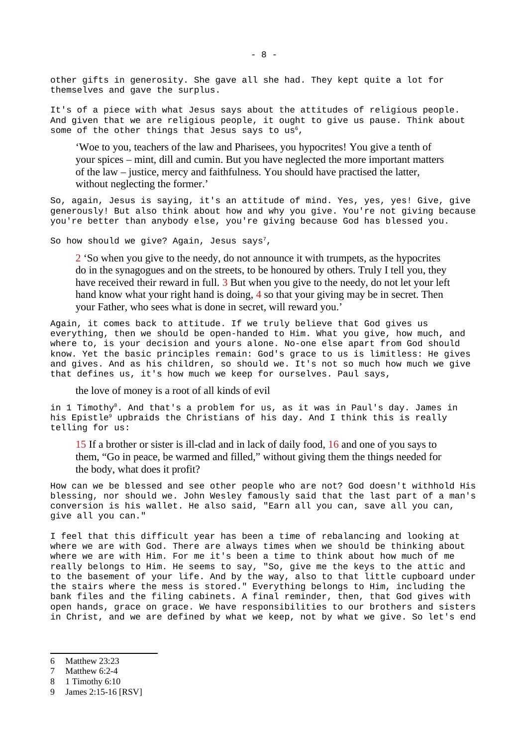other gifts in generosity. She gave all she had. They kept quite a lot for themselves and gave the surplus.

It's of a piece with what Jesus says about the attitudes of religious people. And given that we are religious people, it ought to give us pause. Think about some of the other things that Jesus says to us<sup> $6$ </sup>,

'Woe to you, teachers of the law and Pharisees, you hypocrites! You give a tenth of your spices – mint, dill and cumin. But you have neglected the more important matters of the law – justice, mercy and faithfulness. You should have practised the latter, without neglecting the former.'

So, again, Jesus is saying, it's an attitude of mind. Yes, yes, yes! Give, give generously! But also think about how and why you give. You're not giving because you're better than anybody else, you're giving because God has blessed you.

So how should we give? Again, Jesus says<sup>[7](#page-7-1)</sup>,

2 'So when you give to the needy, do not announce it with trumpets, as the hypocrites do in the synagogues and on the streets, to be honoured by others. Truly I tell you, they have received their reward in full. 3 But when you give to the needy, do not let your left hand know what your right hand is doing, 4 so that your giving may be in secret. Then your Father, who sees what is done in secret, will reward you.'

Again, it comes back to attitude. If we truly believe that God gives us everything, then we should be open-handed to Him. What you give, how much, and where to, is your decision and yours alone. No-one else apart from God should know. Yet the basic principles remain: God's grace to us is limitless: He gives and gives. And as his children, so should we. It's not so much how much we give that defines us, it's how much we keep for ourselves. Paul says,

the love of money is a root of all kinds of evil

in 1 Timothy<sup>[8](#page-7-2)</sup>. And that's a problem for us, as it was in Paul's day. James in his Epistle<sup>[9](#page-7-3)</sup> upbraids the Christians of his day. And I think this is really telling for us:

15 If a brother or sister is ill-clad and in lack of daily food, 16 and one of you says to them, "Go in peace, be warmed and filled," without giving them the things needed for the body, what does it profit?

How can we be blessed and see other people who are not? God doesn't withhold His blessing, nor should we. John Wesley famously said that the last part of a man's conversion is his wallet. He also said, "Earn all you can, save all you can, give all you can."

I feel that this difficult year has been a time of rebalancing and looking at where we are with God. There are always times when we should be thinking about where we are with Him. For me it's been a time to think about how much of me really belongs to Him. He seems to say, "So, give me the keys to the attic and to the basement of your life. And by the way, also to that little cupboard under the stairs where the mess is stored." Everything belongs to Him, including the bank files and the filing cabinets. A final reminder, then, that God gives with open hands, grace on grace. We have responsibilities to our brothers and sisters in Christ, and we are defined by what we keep, not by what we give. So let's end

<span id="page-7-0"></span><sup>6</sup> Matthew 23:23

<span id="page-7-1"></span><sup>7</sup> Matthew 6:2-4

<span id="page-7-2"></span><sup>8</sup> 1 Timothy 6:10

<span id="page-7-3"></span><sup>9</sup> James 2:15-16 [RSV]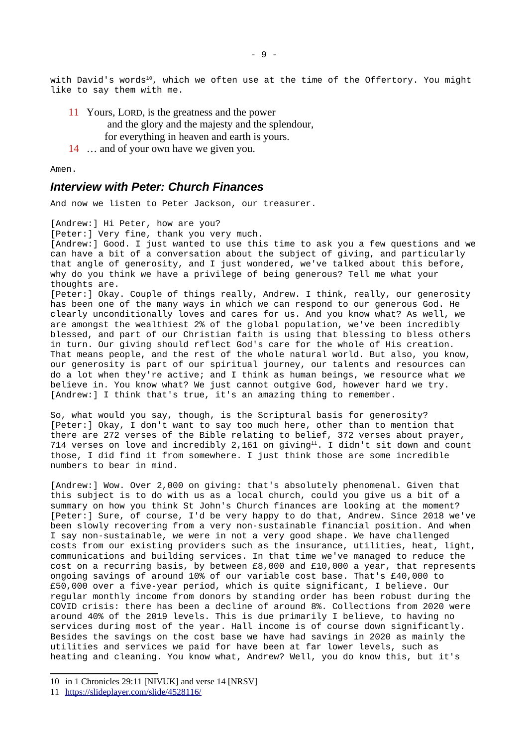with David's words<sup>[10](#page-8-1)</sup>, which we often use at the time of the Offertory. You might like to say them with me.

- 11 Yours, LORD, is the greatness and the power and the glory and the majesty and the splendour, for everything in heaven and earth is yours.
- 14 … and of your own have we given you.

Amen.

#### <span id="page-8-0"></span>*Interview with Peter: Church Finances*

And now we listen to Peter Jackson, our treasurer.

[Andrew:] Hi Peter, how are you?

[Peter:] Very fine, thank you very much.

[Andrew:] Good. I just wanted to use this time to ask you a few questions and we can have a bit of a conversation about the subject of giving, and particularly that angle of generosity, and I just wondered, we've talked about this before, why do you think we have a privilege of being generous? Tell me what your thoughts are.

[Peter:] Okay. Couple of things really, Andrew. I think, really, our generosity has been one of the many ways in which we can respond to our generous God. He clearly unconditionally loves and cares for us. And you know what? As well, we are amongst the wealthiest 2% of the global population, we've been incredibly blessed, and part of our Christian faith is using that blessing to bless others in turn. Our giving should reflect God's care for the whole of His creation. That means people, and the rest of the whole natural world. But also, you know, our generosity is part of our spiritual journey, our talents and resources can do a lot when they're active; and I think as human beings, we resource what we believe in. You know what? We just cannot outgive God, however hard we try. [Andrew:] I think that's true, it's an amazing thing to remember.

So, what would you say, though, is the Scriptural basis for generosity? [Peter:] Okay, I don't want to say too much here, other than to mention that there are 272 verses of the Bible relating to belief, 372 verses about prayer, 714 verses on love and incredibly 2,161 on  $q$ ivin $q^{11}$  $q^{11}$  $q^{11}$ . I didn't sit down and count those, I did find it from somewhere. I just think those are some incredible numbers to bear in mind.

[Andrew:] Wow. Over 2,000 on giving: that's absolutely phenomenal. Given that this subject is to do with us as a local church, could you give us a bit of a summary on how you think St John's Church finances are looking at the moment? [Peter:] Sure, of course, I'd be very happy to do that, Andrew. Since 2018 we've been slowly recovering from a very non-sustainable financial position. And when I say non-sustainable, we were in not a very good shape. We have challenged costs from our existing providers such as the insurance, utilities, heat, light, communications and building services. In that time we've managed to reduce the cost on a recurring basis, by between  $£8,000$  and  $£10,000$  a year, that represents ongoing savings of around 10% of our variable cost base. That's £40,000 to £50,000 over a five-year period, which is quite significant, I believe. Our regular monthly income from donors by standing order has been robust during the COVID crisis: there has been a decline of around 8%. Collections from 2020 were around 40% of the 2019 levels. This is due primarily I believe, to having no services during most of the year. Hall income is of course down significantly. Besides the savings on the cost base we have had savings in 2020 as mainly the utilities and services we paid for have been at far lower levels, such as heating and cleaning. You know what, Andrew? Well, you do know this, but it's

<span id="page-8-1"></span><sup>10</sup> in 1 Chronicles 29:11 [NIVUK] and verse 14 [NRSV]

<span id="page-8-2"></span><sup>11</sup><https://slideplayer.com/slide/4528116/>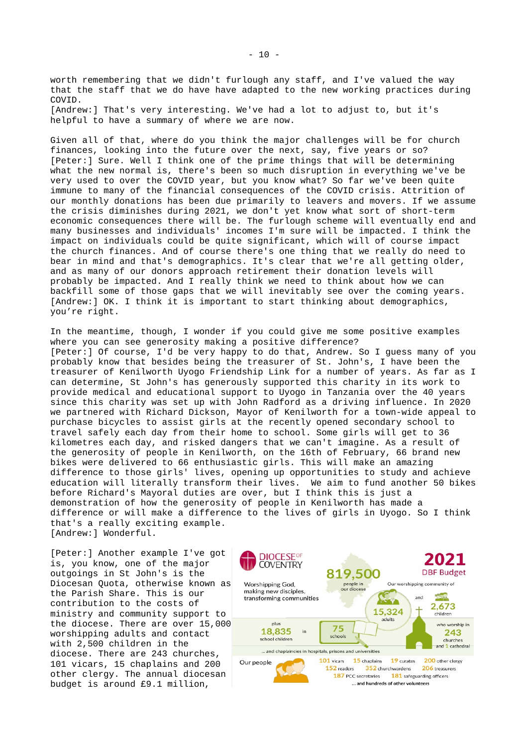worth remembering that we didn't furlough any staff, and I've valued the way that the staff that we do have have adapted to the new working practices during COVID. [Andrew:] That's very interesting. We've had a lot to adjust to, but it's helpful to have a summary of where we are now.

Given all of that, where do you think the major challenges will be for church finances, looking into the future over the next, say, five years or so? [Peter:] Sure. Well I think one of the prime things that will be determining what the new normal is, there's been so much disruption in everything we've be very used to over the COVID year, but you know what? So far we've been quite immune to many of the financial consequences of the COVID crisis. Attrition of our monthly donations has been due primarily to leavers and movers. If we assume the crisis diminishes during 2021, we don't yet know what sort of short-term economic consequences there will be. The furlough scheme will eventually end and many businesses and individuals' incomes I'm sure will be impacted. I think the impact on individuals could be quite significant, which will of course impact the church finances. And of course there's one thing that we really do need to bear in mind and that's demographics. It's clear that we're all getting older, and as many of our donors approach retirement their donation levels will probably be impacted. And I really think we need to think about how we can backfill some of those gaps that we will inevitably see over the coming years. [Andrew:] OK. I think it is important to start thinking about demographics, you're right.

In the meantime, though, I wonder if you could give me some positive examples where you can see generosity making a positive difference? [Peter:] Of course, I'd be very happy to do that, Andrew. So I guess many of you probably know that besides being the treasurer of St. John's, I have been the treasurer of Kenilworth Uyogo Friendship Link for a number of years. As far as I can determine, St John's has generously supported this charity in its work to provide medical and educational support to Uyogo in Tanzania over the 40 years since this charity was set up with John Radford as a driving influence. In 2020 we partnered with Richard Dickson, Mayor of Kenilworth for a town-wide appeal to purchase bicycles to assist girls at the recently opened secondary school to travel safely each day from their home to school. Some girls will get to 36 kilometres each day, and risked dangers that we can't imagine. As a result of the generosity of people in Kenilworth, on the 16th of February, 66 brand new bikes were delivered to 66 enthusiastic girls. This will make an amazing difference to those girls' lives, opening up opportunities to study and achieve education will literally transform their lives. We aim to fund another 50 bikes before Richard's Mayoral duties are over, but I think this is just a demonstration of how the generosity of people in Kenilworth has made a difference or will make a difference to the lives of girls in Uyogo. So I think that's a really exciting example. [Andrew:] Wonderful.

[Peter:] Another example I've got is, you know, one of the major outgoings in St John's is the Diocesan Quota, otherwise known as the Parish Share. This is our contribution to the costs of ministry and community support to the diocese. There are over 15,000 worshipping adults and contact with 2,500 children in the diocese. There are 243 churches, 101 vicars, 15 chaplains and 200 other clergy. The annual diocesan budget is around £9.1 million,

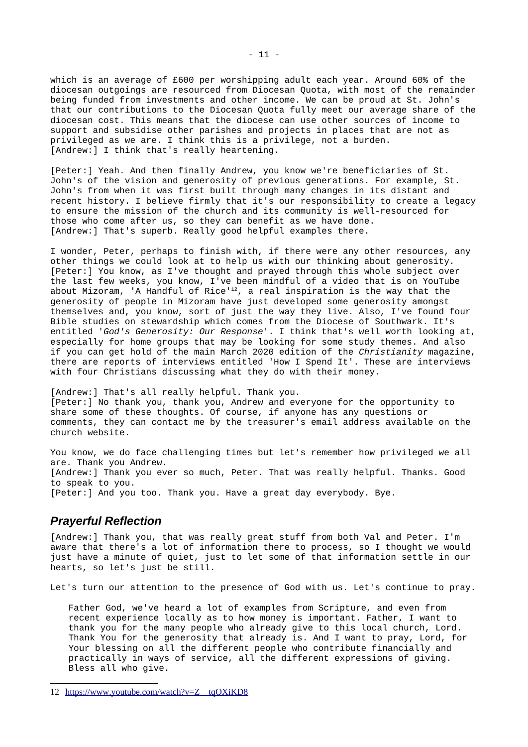which is an average of £600 per worshipping adult each year. Around 60% of the diocesan outgoings are resourced from Diocesan Quota, with most of the remainder being funded from investments and other income. We can be proud at St. John's that our contributions to the Diocesan Quota fully meet our average share of the diocesan cost. This means that the diocese can use other sources of income to support and subsidise other parishes and projects in places that are not as privileged as we are. I think this is a privilege, not a burden. [Andrew:] I think that's really heartening.

[Peter:] Yeah. And then finally Andrew, you know we're beneficiaries of St. John's of the vision and generosity of previous generations. For example, St. John's from when it was first built through many changes in its distant and recent history. I believe firmly that it's our responsibility to create a legacy to ensure the mission of the church and its community is well-resourced for those who come after us, so they can benefit as we have done. [Andrew:] That's superb. Really good helpful examples there.

I wonder, Peter, perhaps to finish with, if there were any other resources, any other things we could look at to help us with our thinking about generosity. [Peter:] You know, as I've thought and prayed through this whole subject over the last few weeks, you know, I've been mindful of a video that is on YouTube about Mizoram, 'A Handful of Rice'<sup>[12](#page-10-1)</sup>, a real inspiration is the way that the generosity of people in Mizoram have just developed some generosity amongst themselves and, you know, sort of just the way they live. Also, I've found four Bible studies on stewardship which comes from the Diocese of Southwark. It's entitled '*God's Generosity: Our Response*'. I think that's well worth looking at, especially for home groups that may be looking for some study themes. And also if you can get hold of the main March 2020 edition of the *Christianity* magazine, there are reports of interviews entitled 'How I Spend It'. These are interviews with four Christians discussing what they do with their money.

[Andrew:] That's all really helpful. Thank you.

[Peter:] No thank you, thank you, Andrew and everyone for the opportunity to share some of these thoughts. Of course, if anyone has any questions or comments, they can contact me by the treasurer's email address available on the church website.

You know, we do face challenging times but let's remember how privileged we all are. Thank you Andrew. [Andrew:] Thank you ever so much, Peter. That was really helpful. Thanks. Good to speak to you. [Peter:] And you too. Thank you. Have a great day everybody. Bye.

#### <span id="page-10-0"></span>*Prayerful Reflection*

[Andrew:] Thank you, that was really great stuff from both Val and Peter. I'm aware that there's a lot of information there to process, so I thought we would just have a minute of quiet, just to let some of that information settle in our hearts, so let's just be still.

Let's turn our attention to the presence of God with us. Let's continue to pray.

Father God, we've heard a lot of examples from Scripture, and even from recent experience locally as to how money is important. Father, I want to thank you for the many people who already give to this local church, Lord. Thank You for the generosity that already is. And I want to pray, Lord, for Your blessing on all the different people who contribute financially and practically in ways of service, all the different expressions of giving. Bless all who give.

<span id="page-10-1"></span><sup>12</sup> [https://www.youtube.com/watch?v=Z\\_\\_tqQXiKD8](https://www.youtube.com/watch?v=Z__tqQXiKD8)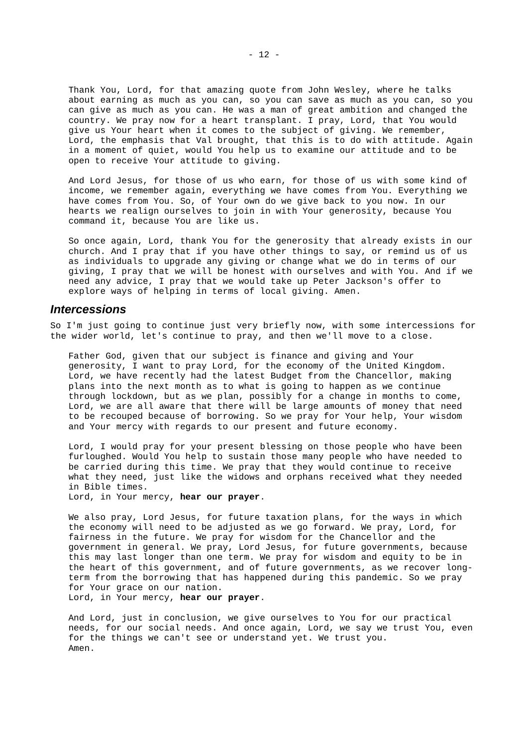Thank You, Lord, for that amazing quote from John Wesley, where he talks about earning as much as you can, so you can save as much as you can, so you can give as much as you can. He was a man of great ambition and changed the country. We pray now for a heart transplant. I pray, Lord, that You would give us Your heart when it comes to the subject of giving. We remember, Lord, the emphasis that Val brought, that this is to do with attitude. Again in a moment of quiet, would You help us to examine our attitude and to be open to receive Your attitude to giving.

And Lord Jesus, for those of us who earn, for those of us with some kind of income, we remember again, everything we have comes from You. Everything we have comes from You. So, of Your own do we give back to you now. In our hearts we realign ourselves to join in with Your generosity, because You command it, because You are like us.

So once again, Lord, thank You for the generosity that already exists in our church. And I pray that if you have other things to say, or remind us of us as individuals to upgrade any giving or change what we do in terms of our giving, I pray that we will be honest with ourselves and with You. And if we need any advice, I pray that we would take up Peter Jackson's offer to explore ways of helping in terms of local giving. Amen.

#### <span id="page-11-0"></span>*Intercessions*

So I'm just going to continue just very briefly now, with some intercessions for the wider world, let's continue to pray, and then we'll move to a close.

Father God, given that our subject is finance and giving and Your generosity, I want to pray Lord, for the economy of the United Kingdom. Lord, we have recently had the latest Budget from the Chancellor, making plans into the next month as to what is going to happen as we continue through lockdown, but as we plan, possibly for a change in months to come, Lord, we are all aware that there will be large amounts of money that need to be recouped because of borrowing. So we pray for Your help, Your wisdom and Your mercy with regards to our present and future economy.

Lord, I would pray for your present blessing on those people who have been furloughed. Would You help to sustain those many people who have needed to be carried during this time. We pray that they would continue to receive what they need, just like the widows and orphans received what they needed in Bible times.

Lord, in Your mercy, **hear our prayer**.

We also pray, Lord Jesus, for future taxation plans, for the ways in which the economy will need to be adjusted as we go forward. We pray, Lord, for fairness in the future. We pray for wisdom for the Chancellor and the government in general. We pray, Lord Jesus, for future governments, because this may last longer than one term. We pray for wisdom and equity to be in the heart of this government, and of future governments, as we recover longterm from the borrowing that has happened during this pandemic. So we pray for Your grace on our nation. Lord, in Your mercy, **hear our prayer**.

And Lord, just in conclusion, we give ourselves to You for our practical needs, for our social needs. And once again, Lord, we say we trust You, even for the things we can't see or understand yet. We trust you. Amen.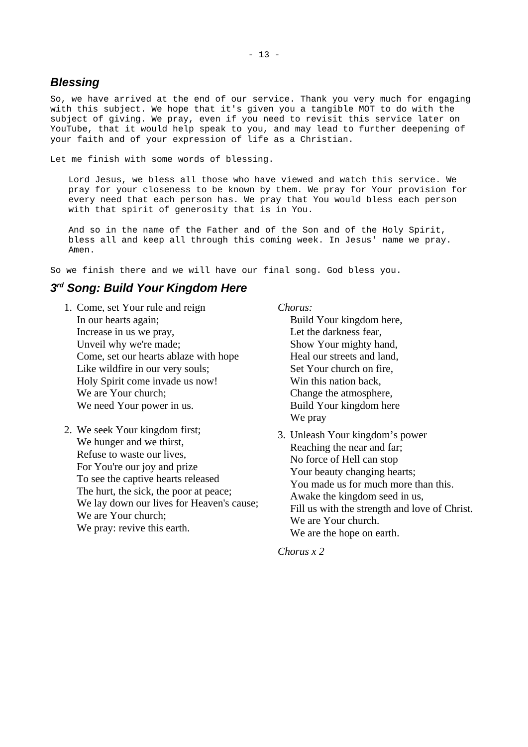## <span id="page-12-1"></span>*Blessing*

So, we have arrived at the end of our service. Thank you very much for engaging with this subject. We hope that it's given you a tangible MOT to do with the subject of giving. We pray, even if you need to revisit this service later on YouTube, that it would help speak to you, and may lead to further deepening of your faith and of your expression of life as a Christian.

Let me finish with some words of blessing.

Lord Jesus, we bless all those who have viewed and watch this service. We pray for your closeness to be known by them. We pray for Your provision for every need that each person has. We pray that You would bless each person with that spirit of generosity that is in You.

And so in the name of the Father and of the Son and of the Holy Spirit, bless all and keep all through this coming week. In Jesus' name we pray. Amen.

So we finish there and we will have our final song. God bless you.

# <span id="page-12-0"></span>*3 rd Song: Build Your Kingdom Here*

- 1. Come, set Your rule and reign In our hearts again; Increase in us we pray, Unveil why we're made; Come, set our hearts ablaze with hope Like wildfire in our very souls; Holy Spirit come invade us now! We are Your church; We need Your power in us.
- 2. We seek Your kingdom first; We hunger and we thirst, Refuse to waste our lives, For You're our joy and prize To see the captive hearts released The hurt, the sick, the poor at peace; We lay down our lives for Heaven's cause; We are Your church; We pray: revive this earth.

*Chorus:*

Build Your kingdom here, Let the darkness fear, Show Your mighty hand, Heal our streets and land, Set Your church on fire, Win this nation back, Change the atmosphere, Build Your kingdom here We pray

3. Unleash Your kingdom's power Reaching the near and far; No force of Hell can stop Your beauty changing hearts; You made us for much more than this. Awake the kingdom seed in us, Fill us with the strength and love of Christ. We are Your church. We are the hope on earth.

*Chorus x 2*